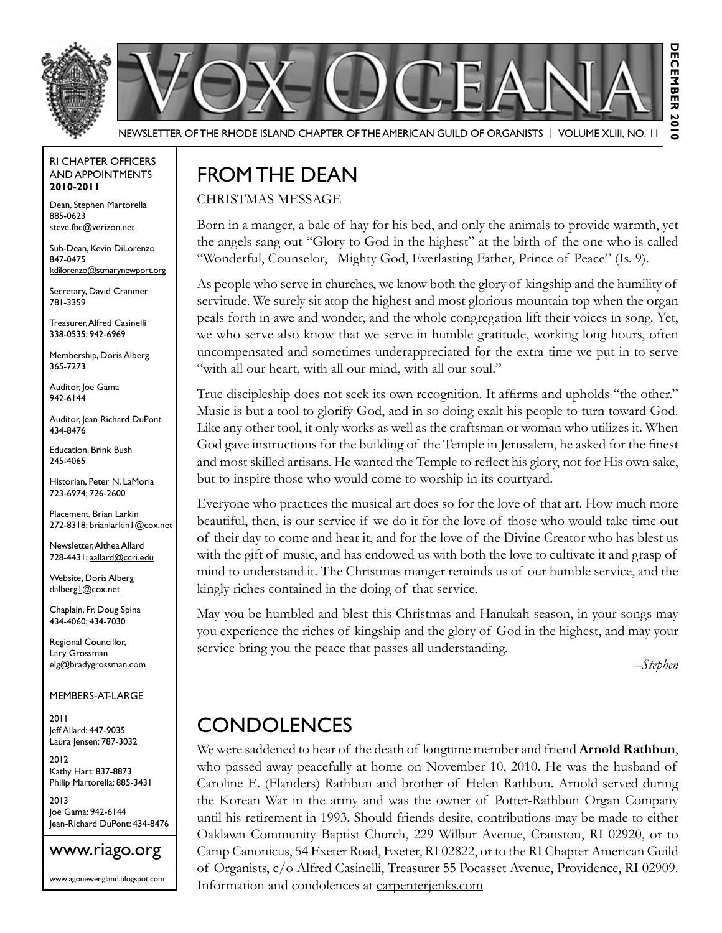



Newsletter of the Rhode Island Chapter of the American Guild of OrganistS | Volume XLIII, No. 11

#### RI Chapter Officers and Appointments **2010-2011**

Dean, Stephen Martorella 885-0623 steve.fbc@verizon.net

Sub-Dean, Kevin DiLorenzo 847-0475 kdilorenzo@stmarynewport.org

Secretary, David Cranmer 781-3359

Treasurer, Alfred Casinelli 338-0535; 942-6969

Membership, Doris Alberg 365-7273

Auditor, Joe Gama 942-6144

Auditor, Jean Richard DuPont 434-8476

Education, Brink Bush 245-4065

Historian, Peter N. LaMoria 723-6974; 726-2600

Placement, Brian Larkin 272-8318; brianlarkin1@cox.net

Newsletter, Althea Allard 728-4431; aallard@ccri.edu

Website, Doris Alberg dalberg1@cox.net

Chaplain, Fr. Doug Spina 434-4060; 434-7030

Regional Councillor, Lary Grossman elg@bradygrossman.com

Members-at-Large

2011 Jeff Allard: 447-9035 Laura Jensen: 787-3032

2012 Kathy Hart: 837-8873 Philip Martorella: 885-3431

2013 Joe Gama: 942-6144 Jean-Richard DuPont: 434-8476



www.agonewengland.blogspot.com

## FROM THE DEAN

#### Christmas Message

Born in a manger, a bale of hay for his bed, and only the animals to provide warmth, yet the angels sang out "Glory to God in the highest" at the birth of the one who is called "Wonderful, Counselor, Mighty God, Everlasting Father, Prince of Peace" (Is. 9).

As people who serve in churches, we know both the glory of kingship and the humility of servitude. We surely sit atop the highest and most glorious mountain top when the organ peals forth in awe and wonder, and the whole congregation lift their voices in song. Yet, we who serve also know that we serve in humble gratitude, working long hours, often uncompensated and sometimes underappreciated for the extra time we put in to serve "with all our heart, with all our mind, with all our soul."

True discipleship does not seek its own recognition. It affirms and upholds "the other." Music is but a tool to glorify God, and in so doing exalt his people to turn toward God. Like any other tool, it only works as well as the craftsman or woman who utilizes it. When God gave instructions for the building of the Temple in Jerusalem, he asked for the finest and most skilled artisans. He wanted the Temple to reflect his glory, not for His own sake, but to inspire those who would come to worship in its courtyard.

Everyone who practices the musical art does so for the love of that art. How much more beautiful, then, is our service if we do it for the love of those who would take time out of their day to come and hear it, and for the love of the Divine Creator who has blest us with the gift of music, and has endowed us with both the love to cultivate it and grasp of mind to understand it. The Christmas manger reminds us of our humble service, and the kingly riches contained in the doing of that service.

May you be humbled and blest this Christmas and Hanukah season, in your songs may you experience the riches of kingship and the glory of God in the highest, and may your service bring you the peace that passes all understanding.

*–Stephen*

ᅙ

## **CONDOLENCES**

We were saddened to hear of the death of longtime member and friend **Arnold Rathbun**, who passed away peacefully at home on November 10, 2010. He was the husband of Caroline E. (Flanders) Rathbun and brother of Helen Rathbun. Arnold served during the Korean War in the army and was the owner of Potter-Rathbun Organ Company until his retirement in 1993. Should friends desire, contributions may be made to either Oaklawn Community Baptist Church, 229 Wilbur Avenue, Cranston, RI 02920, or to Camp Canonicus, 54 Exeter Road, Exeter, RI 02822, or to the RI Chapter American Guild of Organists, c/o Alfred Casinelli, Treasurer 55 Pocasset Avenue, Providence, RI 02909. Information and condolences at carpenterjenks.com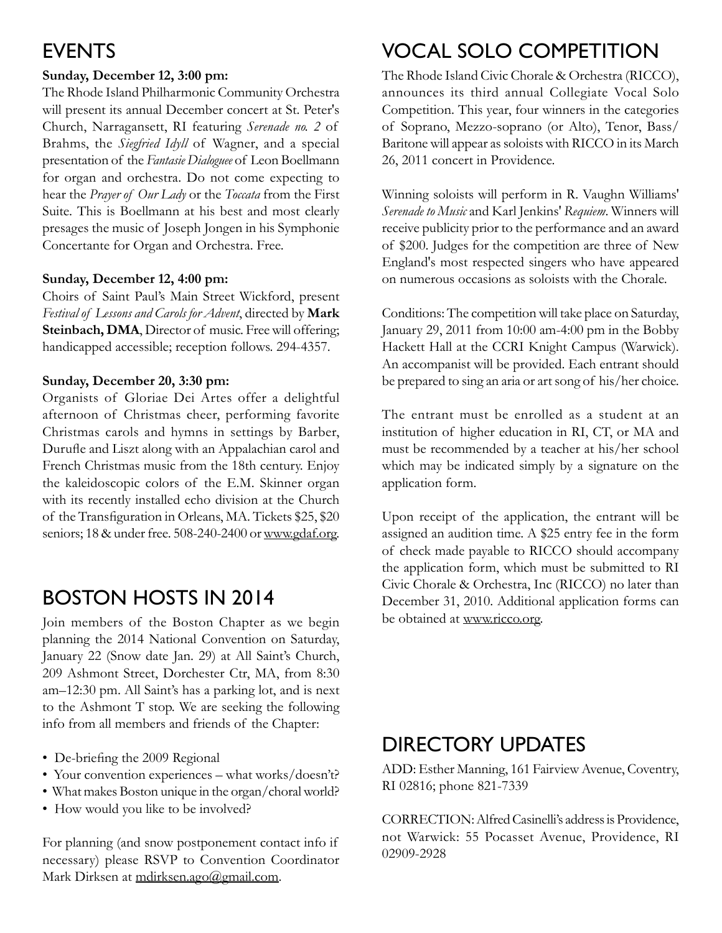## **EVENTS**

## **Sunday, December 12, 3:00 pm:**

The Rhode Island Philharmonic Community Orchestra will present its annual December concert at St. Peter's Church, Narragansett, RI featuring *Serenade no. 2* of Brahms, the *Siegfried Idyll* of Wagner, and a special presentation of the *Fantasie Dialoguee* of Leon Boellmann for organ and orchestra. Do not come expecting to hear the *Prayer of Our Lady* or the *Toccata* from the First Suite. This is Boellmann at his best and most clearly presages the music of Joseph Jongen in his Symphonie Concertante for Organ and Orchestra. Free.

### **Sunday, December 12, 4:00 pm:**

Choirs of Saint Paul's Main Street Wickford, present *Festival of Lessons and Carols for Advent*, directed by **Mark**  Steinbach, DMA, Director of music. Free will offering; handicapped accessible; reception follows. 294-4357.

### **Sunday, December 20, 3:30 pm:**

Organists of Gloriae Dei Artes offer a delightful afternoon of Christmas cheer, performing favorite Christmas carols and hymns in settings by Barber, Durufle and Liszt along with an Appalachian carol and French Christmas music from the 18th century. Enjoy the kaleidoscopic colors of the E.M. Skinner organ with its recently installed echo division at the Church of the Transfiguration in Orleans, MA. Tickets \$25, \$20 seniors; 18 & under free. 508-240-2400 or www.gdaf.org.

## BOSTON HOSTs in 2014

Join members of the Boston Chapter as we begin planning the 2014 National Convention on Saturday, January 22 (Snow date Jan. 29) at All Saint's Church, 209 Ashmont Street, Dorchester Ctr, MA, from 8:30 am–12:30 pm. All Saint's has a parking lot, and is next to the Ashmont T stop. We are seeking the following info from all members and friends of the Chapter:

- De-briefing the 2009 Regional
- Your convention experiences what works/doesn't?
- What makes Boston unique in the organ/choral world?
- How would you like to be involved?

For planning (and snow postponement contact info if necessary) please RSVP to Convention Coordinator Mark Dirksen at mdirksen.ago@gmail.com.

# Vocal Solo Competition

The Rhode Island Civic Chorale & Orchestra (RICCO), announces its third annual Collegiate Vocal Solo Competition. This year, four winners in the categories of Soprano, Mezzo-soprano (or Alto), Tenor, Bass/ Baritone will appear as soloists with RICCO in its March 26, 2011 concert in Providence.

Winning soloists will perform in R. Vaughn Williams' *Serenade to Music* and Karl Jenkins' *Requiem*. Winners will receive publicity prior to the performance and an award of \$200. Judges for the competition are three of New England's most respected singers who have appeared on numerous occasions as soloists with the Chorale.

Conditions: The competition will take place on Saturday, January 29, 2011 from 10:00 am-4:00 pm in the Bobby Hackett Hall at the CCRI Knight Campus (Warwick). An accompanist will be provided. Each entrant should be prepared to sing an aria or art song of his/her choice.

The entrant must be enrolled as a student at an institution of higher education in RI, CT, or MA and must be recommended by a teacher at his/her school which may be indicated simply by a signature on the application form.

Upon receipt of the application, the entrant will be assigned an audition time. A \$25 entry fee in the form of check made payable to RICCO should accompany the application form, which must be submitted to RI Civic Chorale & Orchestra, Inc (RICCO) no later than December 31, 2010. Additional application forms can be obtained at www.ricco.org.

# Directory Updates

ADD: Esther Manning, 161 Fairview Avenue, Coventry, RI 02816; phone 821-7339

CORRECTION: Alfred Casinelli's address is Providence, not Warwick: 55 Pocasset Avenue, Providence, RI 02909-2928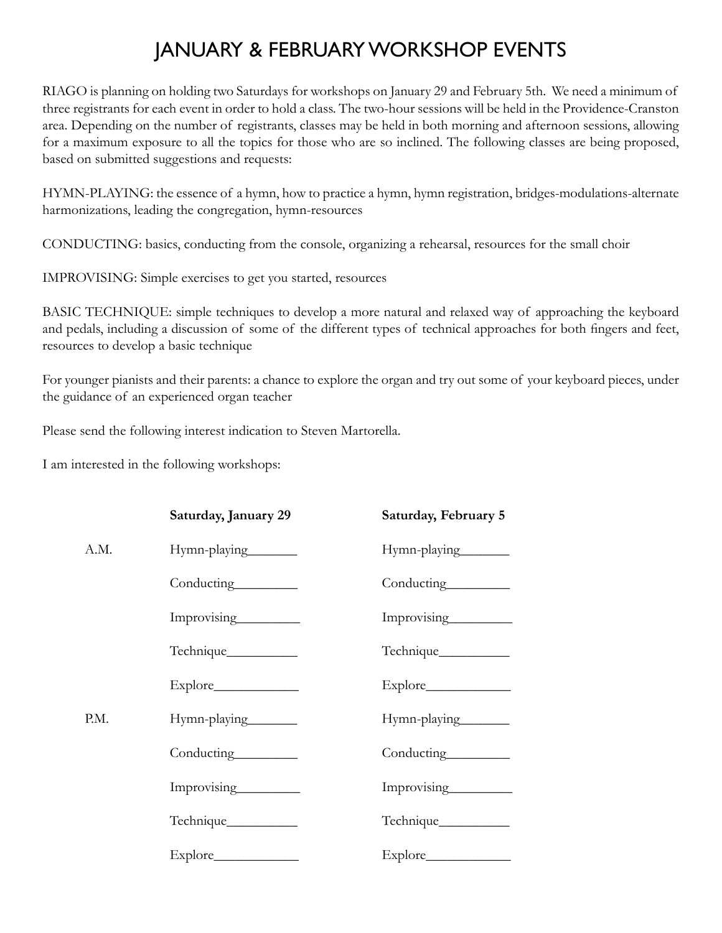# January & February Workshop Events

RIAGO is planning on holding two Saturdays for workshops on January 29 and February 5th. We need a minimum of three registrants for each event in order to hold a class. The two-hour sessions will be held in the Providence-Cranston area. Depending on the number of registrants, classes may be held in both morning and afternoon sessions, allowing for a maximum exposure to all the topics for those who are so inclined. The following classes are being proposed, based on submitted suggestions and requests:

Hymn-playing: the essence of a hymn, how to practice a hymn, hymn registration, bridges-modulations-alternate harmonizations, leading the congregation, hymn-resources

Conducting: basics, conducting from the console, organizing a rehearsal, resources for the small choir

IMPROVISING: Simple exercises to get you started, resources

BASIC TECHNIQUE: simple techniques to develop a more natural and relaxed way of approaching the keyboard and pedals, including a discussion of some of the different types of technical approaches for both fingers and feet, resources to develop a basic technique

For younger pianists and their parents: a chance to explore the organ and try out some of your keyboard pieces, under the guidance of an experienced organ teacher

Please send the following interest indication to Steven Martorella.

I am interested in the following workshops:

|      | Saturday, January 29 | Saturday, February 5            |
|------|----------------------|---------------------------------|
| A.M. | Hymn-playing         | Hymn-playing                    |
|      |                      | Conducting<br><u>conducting</u> |
|      | Improvising          | Improvising                     |
|      | Technique___________ | Technique___________            |
|      |                      |                                 |
| P.M. | Hymn-playing_______  | Hymn-playing                    |
|      |                      | Conducting_________             |
|      | Improvising          | Improvising                     |
|      | Technique___________ |                                 |
|      |                      |                                 |